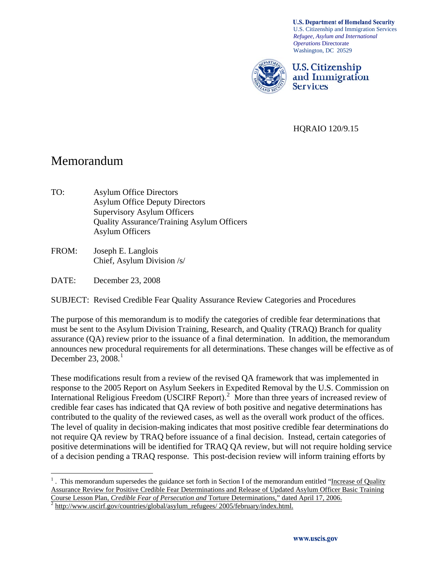**U.S. Department of Homeland Security** U.S. Citizenship and Immigration Services *Refugee, Asylum and International Operations* Directorate Washington, DC 20529



U.S. Citizenship and Immigration **Services** 

HQRAIO 120/9.15

# Memorandum

- TO: Asylum Office Directors Asylum Office Deputy Directors Supervisory Asylum Officers Quality Assurance/Training Asylum Officers Asylum Officers
- FROM: Joseph E. Langlois Chief, Asylum Division /s/

DATE: December 23, 2008

 $\overline{a}$ 

SUBJECT: Revised Credible Fear Quality Assurance Review Categories and Procedures

The purpose of this memorandum is to modify the categories of credible fear determinations that must be sent to the Asylum Division Training, Research, and Quality (TRAQ) Branch for quality assurance (QA) review prior to the issuance of a final determination. In addition, the memorandum announces new procedural requirements for all determinations. These changes will be effective as of December 23,  $2008<sup>1</sup>$  $2008<sup>1</sup>$  $2008<sup>1</sup>$ 

These modifications result from a review of the revised QA framework that was implemented in response to the 2005 Report on Asylum Seekers in Expedited Removal by the U.S. Commission on International Religious Freedom (USCIRF Report).<sup>[2](#page-0-1)</sup> More than three years of increased review of credible fear cases has indicated that QA review of both positive and negative determinations has contributed to the quality of the reviewed cases, as well as the overall work product of the offices. The level of quality in decision-making indicates that most positive credible fear determinations do not require QA review by TRAQ before issuance of a final decision. Instead, certain categories of positive determinations will be identified for TRAQ QA review, but will not require holding service of a decision pending a TRAQ response. This post-decision review will inform training efforts by

<span id="page-0-0"></span><sup>&</sup>lt;sup>1</sup>. This memorandum supersedes the guidance set forth in Section I of the memorandum entitled "Increase of Quality Assurance Review for Positive Credible Fear Determinations and Release of Updated Asylum Officer Basic Training Course Lesson Plan, *Credible Fear of Persecution and* Torture Determinations," dated April 17, 2006.

<span id="page-0-1"></span>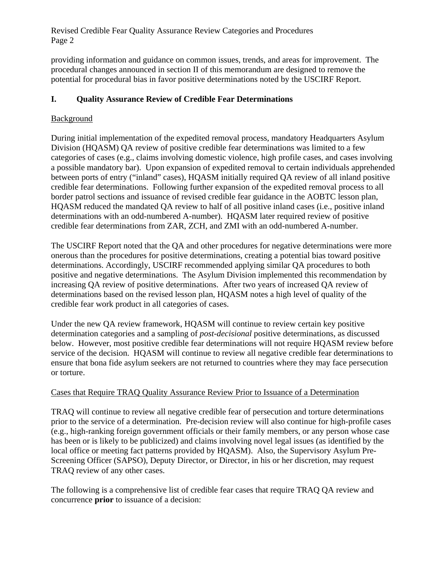providing information and guidance on common issues, trends, and areas for improvement. The procedural changes announced in section II of this memorandum are designed to remove the potential for procedural bias in favor positive determinations noted by the USCIRF Report.

# **I. Quality Assurance Review of Credible Fear Determinations**

# Background

During initial implementation of the expedited removal process, mandatory Headquarters Asylum Division (HQASM) QA review of positive credible fear determinations was limited to a few categories of cases (e.g., claims involving domestic violence, high profile cases, and cases involving a possible mandatory bar). Upon expansion of expedited removal to certain individuals apprehended between ports of entry ("inland" cases), HQASM initially required QA review of all inland positive credible fear determinations. Following further expansion of the expedited removal process to all border patrol sections and issuance of revised credible fear guidance in the AOBTC lesson plan, HQASM reduced the mandated QA review to half of all positive inland cases (i.e., positive inland determinations with an odd-numbered A-number). HQASM later required review of positive credible fear determinations from ZAR, ZCH, and ZMI with an odd-numbered A-number.

The USCIRF Report noted that the QA and other procedures for negative determinations were more onerous than the procedures for positive determinations, creating a potential bias toward positive determinations. Accordingly, USCIRF recommended applying similar QA procedures to both positive and negative determinations. The Asylum Division implemented this recommendation by increasing QA review of positive determinations. After two years of increased QA review of determinations based on the revised lesson plan, HQASM notes a high level of quality of the credible fear work product in all categories of cases.

Under the new QA review framework, HQASM will continue to review certain key positive determination categories and a sampling of *post-decisional* positive determinations, as discussed below. However, most positive credible fear determinations will not require HQASM review before service of the decision. HQASM will continue to review all negative credible fear determinations to ensure that bona fide asylum seekers are not returned to countries where they may face persecution or torture.

# Cases that Require TRAQ Quality Assurance Review Prior to Issuance of a Determination

TRAQ will continue to review all negative credible fear of persecution and torture determinations prior to the service of a determination. Pre-decision review will also continue for high-profile cases (e.g., high-ranking foreign government officials or their family members, or any person whose case has been or is likely to be publicized) and claims involving novel legal issues (as identified by the local office or meeting fact patterns provided by HQASM). Also, the Supervisory Asylum Pre-Screening Officer (SAPSO), Deputy Director, or Director, in his or her discretion, may request TRAQ review of any other cases.

The following is a comprehensive list of credible fear cases that require TRAQ QA review and concurrence **prior** to issuance of a decision: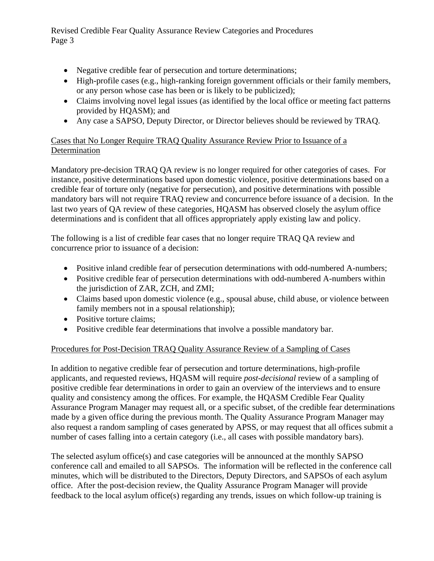- Negative credible fear of persecution and torture determinations;
- High-profile cases (e.g., high-ranking foreign government officials or their family members, or any person whose case has been or is likely to be publicized);
- Claims involving novel legal issues (as identified by the local office or meeting fact patterns provided by HQASM); and
- Any case a SAPSO, Deputy Director, or Director believes should be reviewed by TRAQ.

# Cases that No Longer Require TRAQ Quality Assurance Review Prior to Issuance of a **Determination**

Mandatory pre-decision TRAQ QA review is no longer required for other categories of cases. For instance, positive determinations based upon domestic violence, positive determinations based on a credible fear of torture only (negative for persecution), and positive determinations with possible mandatory bars will not require TRAQ review and concurrence before issuance of a decision. In the last two years of QA review of these categories, HQASM has observed closely the asylum office determinations and is confident that all offices appropriately apply existing law and policy.

The following is a list of credible fear cases that no longer require TRAQ QA review and concurrence prior to issuance of a decision:

- Positive inland credible fear of persecution determinations with odd-numbered A-numbers;
- Positive credible fear of persecution determinations with odd-numbered A-numbers within the jurisdiction of ZAR, ZCH, and ZMI;
- Claims based upon domestic violence (e.g., spousal abuse, child abuse, or violence between family members not in a spousal relationship);
- Positive torture claims;
- Positive credible fear determinations that involve a possible mandatory bar.

# Procedures for Post-Decision TRAQ Quality Assurance Review of a Sampling of Cases

In addition to negative credible fear of persecution and torture determinations, high-profile applicants, and requested reviews, HQASM will require *post-decisional* review of a sampling of positive credible fear determinations in order to gain an overview of the interviews and to ensure quality and consistency among the offices. For example, the HQASM Credible Fear Quality Assurance Program Manager may request all, or a specific subset, of the credible fear determinations made by a given office during the previous month. The Quality Assurance Program Manager may also request a random sampling of cases generated by APSS, or may request that all offices submit a number of cases falling into a certain category (i.e., all cases with possible mandatory bars).

The selected asylum office(s) and case categories will be announced at the monthly SAPSO conference call and emailed to all SAPSOs. The information will be reflected in the conference call minutes, which will be distributed to the Directors, Deputy Directors, and SAPSOs of each asylum office. After the post-decision review, the Quality Assurance Program Manager will provide feedback to the local asylum office(s) regarding any trends, issues on which follow-up training is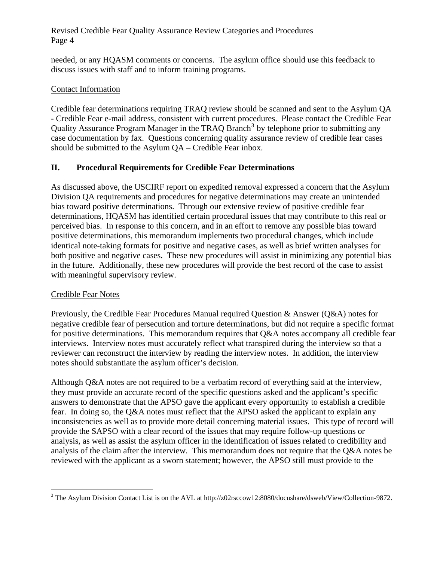needed, or any HQASM comments or concerns. The asylum office should use this feedback to discuss issues with staff and to inform training programs.

### Contact Information

Credible fear determinations requiring TRAQ review should be scanned and sent to the Asylum QA - Credible Fear e-mail address, consistent with current procedures. Please contact the Credible Fear Quality Assurance Program Manager in the TRAQ Branch<sup>[3](#page-3-0)</sup> by telephone prior to submitting any case documentation by fax. Questions concerning quality assurance review of credible fear cases should be submitted to the Asylum QA – Credible Fear inbox.

# **II. Procedural Requirements for Credible Fear Determinations**

As discussed above, the USCIRF report on expedited removal expressed a concern that the Asylum Division QA requirements and procedures for negative determinations may create an unintended bias toward positive determinations. Through our extensive review of positive credible fear determinations, HQASM has identified certain procedural issues that may contribute to this real or perceived bias. In response to this concern, and in an effort to remove any possible bias toward positive determinations, this memorandum implements two procedural changes, which include identical note-taking formats for positive and negative cases, as well as brief written analyses for both positive and negative cases. These new procedures will assist in minimizing any potential bias in the future. Additionally, these new procedures will provide the best record of the case to assist with meaningful supervisory review.

# Credible Fear Notes

Previously, the Credible Fear Procedures Manual required Question & Answer (Q&A) notes for negative credible fear of persecution and torture determinations, but did not require a specific format for positive determinations. This memorandum requires that Q&A notes accompany all credible fear interviews. Interview notes must accurately reflect what transpired during the interview so that a reviewer can reconstruct the interview by reading the interview notes. In addition, the interview notes should substantiate the asylum officer's decision.

Although Q&A notes are not required to be a verbatim record of everything said at the interview, they must provide an accurate record of the specific questions asked and the applicant's specific answers to demonstrate that the APSO gave the applicant every opportunity to establish a credible fear. In doing so, the Q&A notes must reflect that the APSO asked the applicant to explain any inconsistencies as well as to provide more detail concerning material issues. This type of record will provide the SAPSO with a clear record of the issues that may require follow-up questions or analysis, as well as assist the asylum officer in the identification of issues related to credibility and analysis of the claim after the interview. This memorandum does not require that the Q&A notes be reviewed with the applicant as a sworn statement; however, the APSO still must provide to the

<span id="page-3-0"></span><sup>&</sup>lt;sup>3</sup> The Asylum Division Contact List is on the AVL at http://z02rsccow12:8080/docushare/dsweb/View/Collection-9872.